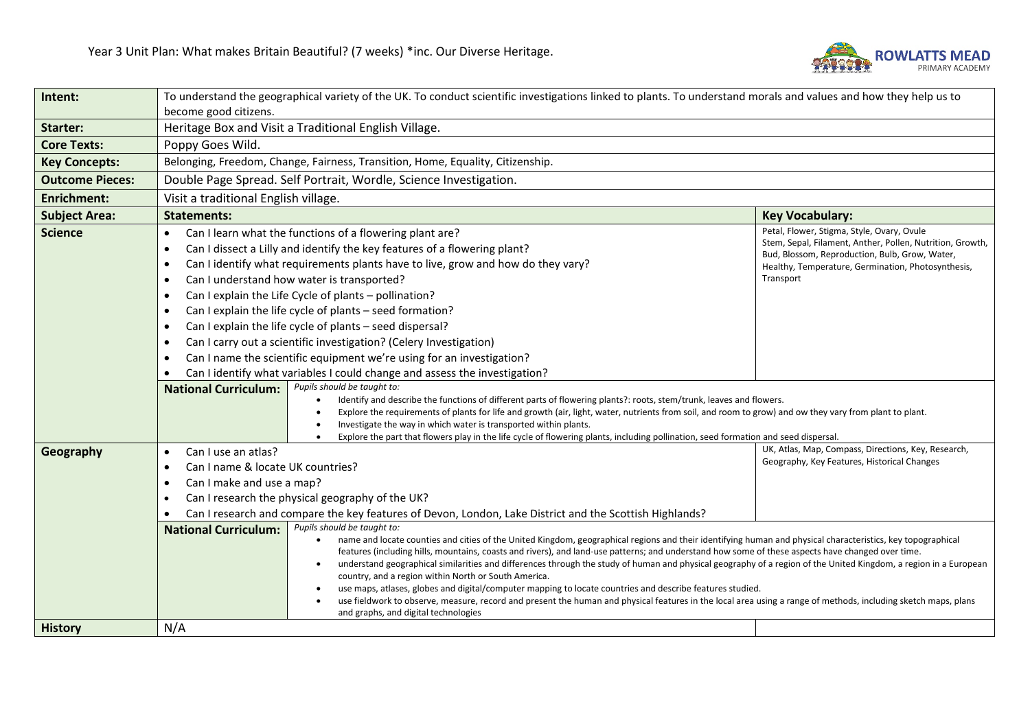

| Intent:                | To understand the geographical variety of the UK. To conduct scientific investigations linked to plants. To understand morals and values and how they help us to                                                                                                                                                                                                                                                                                                                                                                                                                                                                                                                                                                                                                                                                                                                                                                                                                                                                                                                                                                                                                                                       |                                                                                                                                                                                                                              |  |
|------------------------|------------------------------------------------------------------------------------------------------------------------------------------------------------------------------------------------------------------------------------------------------------------------------------------------------------------------------------------------------------------------------------------------------------------------------------------------------------------------------------------------------------------------------------------------------------------------------------------------------------------------------------------------------------------------------------------------------------------------------------------------------------------------------------------------------------------------------------------------------------------------------------------------------------------------------------------------------------------------------------------------------------------------------------------------------------------------------------------------------------------------------------------------------------------------------------------------------------------------|------------------------------------------------------------------------------------------------------------------------------------------------------------------------------------------------------------------------------|--|
|                        | become good citizens.                                                                                                                                                                                                                                                                                                                                                                                                                                                                                                                                                                                                                                                                                                                                                                                                                                                                                                                                                                                                                                                                                                                                                                                                  |                                                                                                                                                                                                                              |  |
| Starter:               | Heritage Box and Visit a Traditional English Village.                                                                                                                                                                                                                                                                                                                                                                                                                                                                                                                                                                                                                                                                                                                                                                                                                                                                                                                                                                                                                                                                                                                                                                  |                                                                                                                                                                                                                              |  |
| <b>Core Texts:</b>     | Poppy Goes Wild.                                                                                                                                                                                                                                                                                                                                                                                                                                                                                                                                                                                                                                                                                                                                                                                                                                                                                                                                                                                                                                                                                                                                                                                                       |                                                                                                                                                                                                                              |  |
| <b>Key Concepts:</b>   | Belonging, Freedom, Change, Fairness, Transition, Home, Equality, Citizenship.                                                                                                                                                                                                                                                                                                                                                                                                                                                                                                                                                                                                                                                                                                                                                                                                                                                                                                                                                                                                                                                                                                                                         |                                                                                                                                                                                                                              |  |
| <b>Outcome Pieces:</b> | Double Page Spread. Self Portrait, Wordle, Science Investigation.                                                                                                                                                                                                                                                                                                                                                                                                                                                                                                                                                                                                                                                                                                                                                                                                                                                                                                                                                                                                                                                                                                                                                      |                                                                                                                                                                                                                              |  |
| <b>Enrichment:</b>     | Visit a traditional English village.                                                                                                                                                                                                                                                                                                                                                                                                                                                                                                                                                                                                                                                                                                                                                                                                                                                                                                                                                                                                                                                                                                                                                                                   |                                                                                                                                                                                                                              |  |
| <b>Subject Area:</b>   | <b>Statements:</b>                                                                                                                                                                                                                                                                                                                                                                                                                                                                                                                                                                                                                                                                                                                                                                                                                                                                                                                                                                                                                                                                                                                                                                                                     | <b>Key Vocabulary:</b>                                                                                                                                                                                                       |  |
| <b>Science</b>         | Can I learn what the functions of a flowering plant are?<br>$\bullet$<br>Can I dissect a Lilly and identify the key features of a flowering plant?<br>٠<br>Can I identify what requirements plants have to live, grow and how do they vary?<br>$\bullet$<br>Can I understand how water is transported?<br>$\bullet$<br>Can I explain the Life Cycle of plants - pollination?<br>$\bullet$<br>Can I explain the life cycle of plants - seed formation?<br>$\bullet$<br>Can I explain the life cycle of plants - seed dispersal?<br>$\bullet$<br>Can I carry out a scientific investigation? (Celery Investigation)<br>Can I name the scientific equipment we're using for an investigation?<br>$\bullet$<br>Can I identify what variables I could change and assess the investigation?<br>Pupils should be taught to:<br><b>National Curriculum:</b><br>Identify and describe the functions of different parts of flowering plants?: roots, stem/trunk, leaves and flowers.<br>$\bullet$<br>Explore the requirements of plants for life and growth (air, light, water, nutrients from soil, and room to grow) and ow they vary from plant to plant.<br>Investigate the way in which water is transported within plants. | Petal, Flower, Stigma, Style, Ovary, Ovule<br>Stem, Sepal, Filament, Anther, Pollen, Nutrition, Growth,<br>Bud, Blossom, Reproduction, Bulb, Grow, Water,<br>Healthy, Temperature, Germination, Photosynthesis,<br>Transport |  |
| Geography              | Explore the part that flowers play in the life cycle of flowering plants, including pollination, seed formation and seed dispersal.<br>Can I use an atlas?<br>$\bullet$                                                                                                                                                                                                                                                                                                                                                                                                                                                                                                                                                                                                                                                                                                                                                                                                                                                                                                                                                                                                                                                | UK, Atlas, Map, Compass, Directions, Key, Research,                                                                                                                                                                          |  |
|                        | Can I name & locate UK countries?<br>$\bullet$                                                                                                                                                                                                                                                                                                                                                                                                                                                                                                                                                                                                                                                                                                                                                                                                                                                                                                                                                                                                                                                                                                                                                                         | Geography, Key Features, Historical Changes                                                                                                                                                                                  |  |
|                        | Can I make and use a map?<br>$\bullet$                                                                                                                                                                                                                                                                                                                                                                                                                                                                                                                                                                                                                                                                                                                                                                                                                                                                                                                                                                                                                                                                                                                                                                                 |                                                                                                                                                                                                                              |  |
|                        | Can I research the physical geography of the UK?                                                                                                                                                                                                                                                                                                                                                                                                                                                                                                                                                                                                                                                                                                                                                                                                                                                                                                                                                                                                                                                                                                                                                                       |                                                                                                                                                                                                                              |  |
|                        | Can I research and compare the key features of Devon, London, Lake District and the Scottish Highlands?                                                                                                                                                                                                                                                                                                                                                                                                                                                                                                                                                                                                                                                                                                                                                                                                                                                                                                                                                                                                                                                                                                                |                                                                                                                                                                                                                              |  |
|                        | Pupils should be taught to:<br><b>National Curriculum:</b><br>name and locate counties and cities of the United Kingdom, geographical regions and their identifying human and physical characteristics, key topographical<br>$\bullet$<br>features (including hills, mountains, coasts and rivers), and land-use patterns; and understand how some of these aspects have changed over time.<br>understand geographical similarities and differences through the study of human and physical geography of a region of the United Kingdom, a region in a European<br>$\bullet$<br>country, and a region within North or South America.<br>use maps, atlases, globes and digital/computer mapping to locate countries and describe features studied.<br>use fieldwork to observe, measure, record and present the human and physical features in the local area using a range of methods, including sketch maps, plans<br>and graphs, and digital technologies                                                                                                                                                                                                                                                            |                                                                                                                                                                                                                              |  |
| <b>History</b>         | N/A                                                                                                                                                                                                                                                                                                                                                                                                                                                                                                                                                                                                                                                                                                                                                                                                                                                                                                                                                                                                                                                                                                                                                                                                                    |                                                                                                                                                                                                                              |  |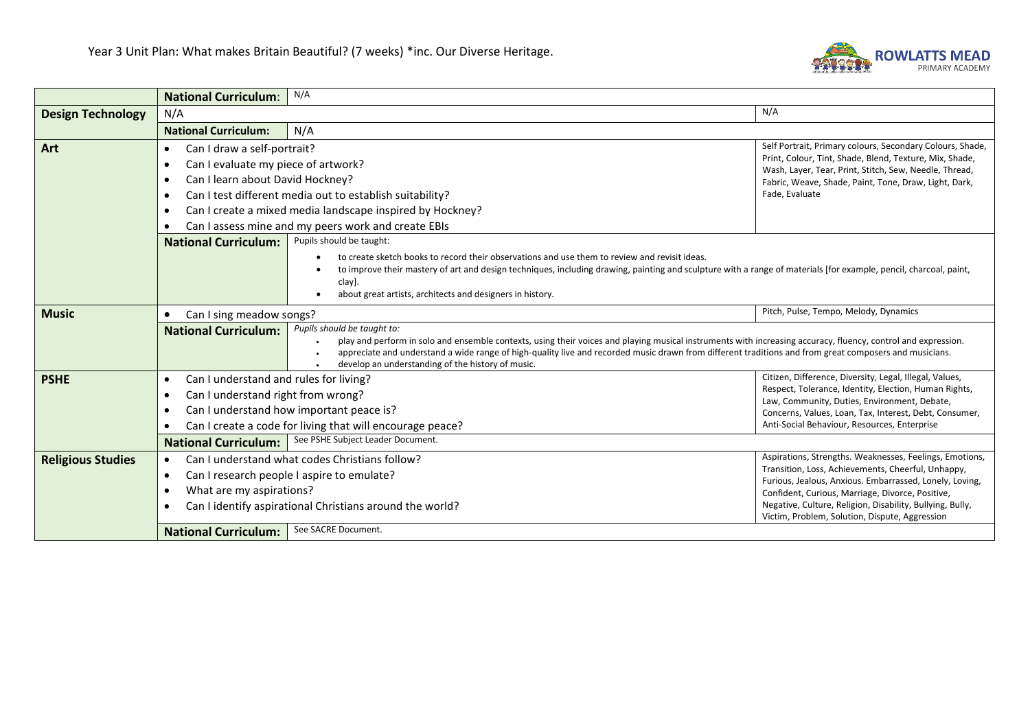

|                          | <b>National Curriculum:</b>                                                                                                                                                                                                          | N/A                                                                                                                                                               |                                                                                                                   |  |  |
|--------------------------|--------------------------------------------------------------------------------------------------------------------------------------------------------------------------------------------------------------------------------------|-------------------------------------------------------------------------------------------------------------------------------------------------------------------|-------------------------------------------------------------------------------------------------------------------|--|--|
| <b>Design Technology</b> | N/A                                                                                                                                                                                                                                  |                                                                                                                                                                   | N/A                                                                                                               |  |  |
|                          | <b>National Curriculum:</b>                                                                                                                                                                                                          | N/A                                                                                                                                                               |                                                                                                                   |  |  |
| Art                      | Can I draw a self-portrait?<br>$\bullet$                                                                                                                                                                                             | Self Portrait, Primary colours, Secondary Colours, Shade,                                                                                                         |                                                                                                                   |  |  |
|                          | Can I evaluate my piece of artwork?<br>$\bullet$                                                                                                                                                                                     |                                                                                                                                                                   | Print, Colour, Tint, Shade, Blend, Texture, Mix, Shade,<br>Wash, Layer, Tear, Print, Stitch, Sew, Needle, Thread, |  |  |
|                          | Can I learn about David Hockney?<br>$\bullet$                                                                                                                                                                                        |                                                                                                                                                                   | Fabric, Weave, Shade, Paint, Tone, Draw, Light, Dark,                                                             |  |  |
|                          | Fade, Evaluate<br>Can I test different media out to establish suitability?<br>$\bullet$                                                                                                                                              |                                                                                                                                                                   |                                                                                                                   |  |  |
|                          | Can I create a mixed media landscape inspired by Hockney?<br>$\bullet$                                                                                                                                                               |                                                                                                                                                                   |                                                                                                                   |  |  |
|                          | Can I assess mine and my peers work and create EBIs<br>$\bullet$                                                                                                                                                                     |                                                                                                                                                                   |                                                                                                                   |  |  |
|                          | <b>National Curriculum:</b>                                                                                                                                                                                                          | Pupils should be taught:                                                                                                                                          |                                                                                                                   |  |  |
|                          |                                                                                                                                                                                                                                      | to create sketch books to record their observations and use them to review and revisit ideas.                                                                     |                                                                                                                   |  |  |
|                          |                                                                                                                                                                                                                                      | to improve their mastery of art and design techniques, including drawing, painting and sculpture with a range of materials [for example, pencil, charcoal, paint, |                                                                                                                   |  |  |
|                          |                                                                                                                                                                                                                                      | clay].<br>about great artists, architects and designers in history.                                                                                               |                                                                                                                   |  |  |
| <b>Music</b>             | Pitch, Pulse, Tempo, Melody, Dynamics                                                                                                                                                                                                |                                                                                                                                                                   |                                                                                                                   |  |  |
|                          | $\bullet$                                                                                                                                                                                                                            | Can I sing meadow songs?<br>Pupils should be taught to:                                                                                                           |                                                                                                                   |  |  |
|                          | <b>National Curriculum:</b>                                                                                                                                                                                                          | play and perform in solo and ensemble contexts, using their voices and playing musical instruments with increasing accuracy, fluency, control and expression.     |                                                                                                                   |  |  |
|                          | appreciate and understand a wide range of high-quality live and recorded music drawn from different traditions and from great composers and musicians.                                                                               |                                                                                                                                                                   |                                                                                                                   |  |  |
|                          |                                                                                                                                                                                                                                      | develop an understanding of the history of music.                                                                                                                 |                                                                                                                   |  |  |
| <b>PSHE</b>              | $\bullet$                                                                                                                                                                                                                            | Citizen, Difference, Diversity, Legal, Illegal, Values,<br>Can I understand and rules for living?<br>Respect, Tolerance, Identity, Election, Human Rights,        |                                                                                                                   |  |  |
|                          | Can I understand right from wrong?<br>$\bullet$<br>Can I understand how important peace is?<br>$\bullet$                                                                                                                             |                                                                                                                                                                   | Law, Community, Duties, Environment, Debate,                                                                      |  |  |
|                          |                                                                                                                                                                                                                                      |                                                                                                                                                                   | Concerns, Values, Loan, Tax, Interest, Debt, Consumer,                                                            |  |  |
|                          | Anti-Social Behaviour, Resources, Enterprise<br>Can I create a code for living that will encourage peace?                                                                                                                            |                                                                                                                                                                   |                                                                                                                   |  |  |
|                          | <b>National Curriculum:</b>                                                                                                                                                                                                          | See PSHE Subject Leader Document.                                                                                                                                 |                                                                                                                   |  |  |
| <b>Religious Studies</b> | Aspirations, Strengths. Weaknesses, Feelings, Emotions,<br>Can I understand what codes Christians follow?<br>$\bullet$                                                                                                               |                                                                                                                                                                   |                                                                                                                   |  |  |
|                          | Can I research people I aspire to emulate?<br>$\bullet$<br>Furious, Jealous, Anxious. Embarrassed, Lonely, Loving,<br>What are my aspirations?<br>$\bullet$<br>Can I identify aspirational Christians around the world?<br>$\bullet$ |                                                                                                                                                                   | Transition, Loss, Achievements, Cheerful, Unhappy,                                                                |  |  |
|                          |                                                                                                                                                                                                                                      |                                                                                                                                                                   | Confident, Curious, Marriage, Divorce, Positive,                                                                  |  |  |
|                          |                                                                                                                                                                                                                                      |                                                                                                                                                                   | Negative, Culture, Religion, Disability, Bullying, Bully,                                                         |  |  |
|                          |                                                                                                                                                                                                                                      |                                                                                                                                                                   | Victim, Problem, Solution, Dispute, Aggression                                                                    |  |  |
|                          | <b>National Curriculum:</b>                                                                                                                                                                                                          | See SACRE Document.                                                                                                                                               |                                                                                                                   |  |  |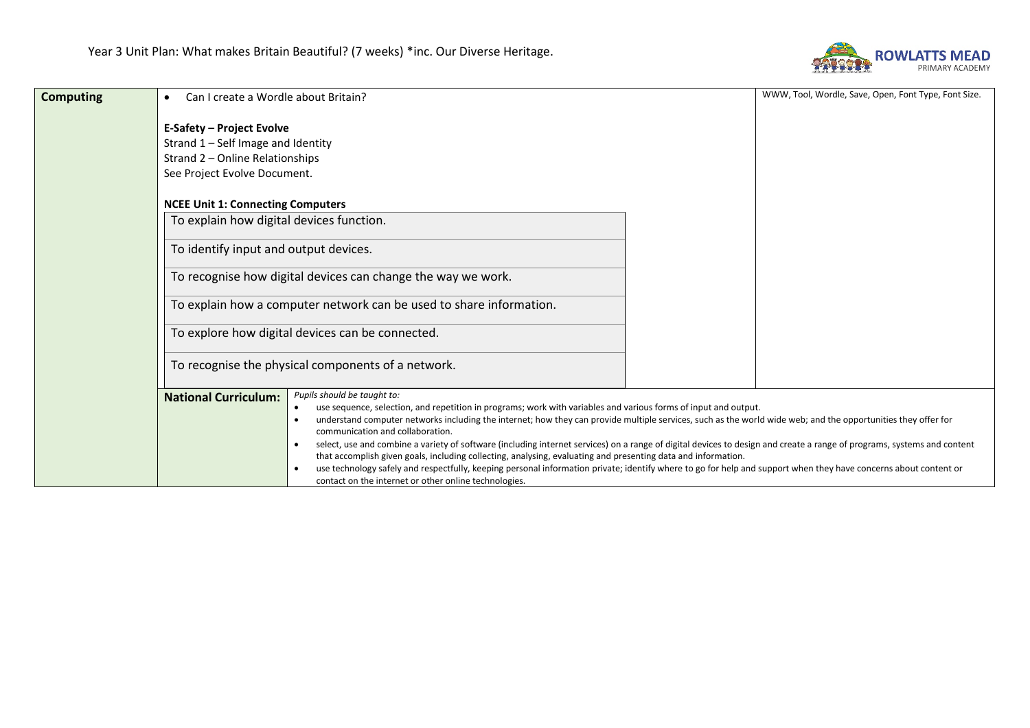

| <b>Computing</b> | Can I create a Wordle about Britain?<br>$\bullet$                                                                                                                                 | WWW, Tool, Wordle, Save, Open, Font Type, Font Size.                                                                                                                                                                                                                                                                                                                                                                                                                                                                                                                                                                                                                                                                                             |  |
|------------------|-----------------------------------------------------------------------------------------------------------------------------------------------------------------------------------|--------------------------------------------------------------------------------------------------------------------------------------------------------------------------------------------------------------------------------------------------------------------------------------------------------------------------------------------------------------------------------------------------------------------------------------------------------------------------------------------------------------------------------------------------------------------------------------------------------------------------------------------------------------------------------------------------------------------------------------------------|--|
|                  | <b>E-Safety - Project Evolve</b><br>Strand 1 - Self Image and Identity<br>Strand 2 – Online Relationships<br>See Project Evolve Document.                                         |                                                                                                                                                                                                                                                                                                                                                                                                                                                                                                                                                                                                                                                                                                                                                  |  |
|                  | <b>NCEE Unit 1: Connecting Computers</b>                                                                                                                                          |                                                                                                                                                                                                                                                                                                                                                                                                                                                                                                                                                                                                                                                                                                                                                  |  |
|                  | To explain how digital devices function.                                                                                                                                          |                                                                                                                                                                                                                                                                                                                                                                                                                                                                                                                                                                                                                                                                                                                                                  |  |
|                  | To identify input and output devices.                                                                                                                                             |                                                                                                                                                                                                                                                                                                                                                                                                                                                                                                                                                                                                                                                                                                                                                  |  |
|                  | To recognise how digital devices can change the way we work.                                                                                                                      |                                                                                                                                                                                                                                                                                                                                                                                                                                                                                                                                                                                                                                                                                                                                                  |  |
|                  | To explain how a computer network can be used to share information.                                                                                                               |                                                                                                                                                                                                                                                                                                                                                                                                                                                                                                                                                                                                                                                                                                                                                  |  |
|                  | To explore how digital devices can be connected.                                                                                                                                  |                                                                                                                                                                                                                                                                                                                                                                                                                                                                                                                                                                                                                                                                                                                                                  |  |
|                  | To recognise the physical components of a network.                                                                                                                                |                                                                                                                                                                                                                                                                                                                                                                                                                                                                                                                                                                                                                                                                                                                                                  |  |
|                  | Pupils should be taught to:<br><b>National Curriculum:</b><br>$\bullet$<br>communication and collaboration.<br>$\bullet$<br>contact on the internet or other online technologies. | use sequence, selection, and repetition in programs; work with variables and various forms of input and output.<br>understand computer networks including the internet; how they can provide multiple services, such as the world wide web; and the opportunities they offer for<br>select, use and combine a variety of software (including internet services) on a range of digital devices to design and create a range of programs, systems and content<br>that accomplish given goals, including collecting, analysing, evaluating and presenting data and information.<br>use technology safely and respectfully, keeping personal information private; identify where to go for help and support when they have concerns about content or |  |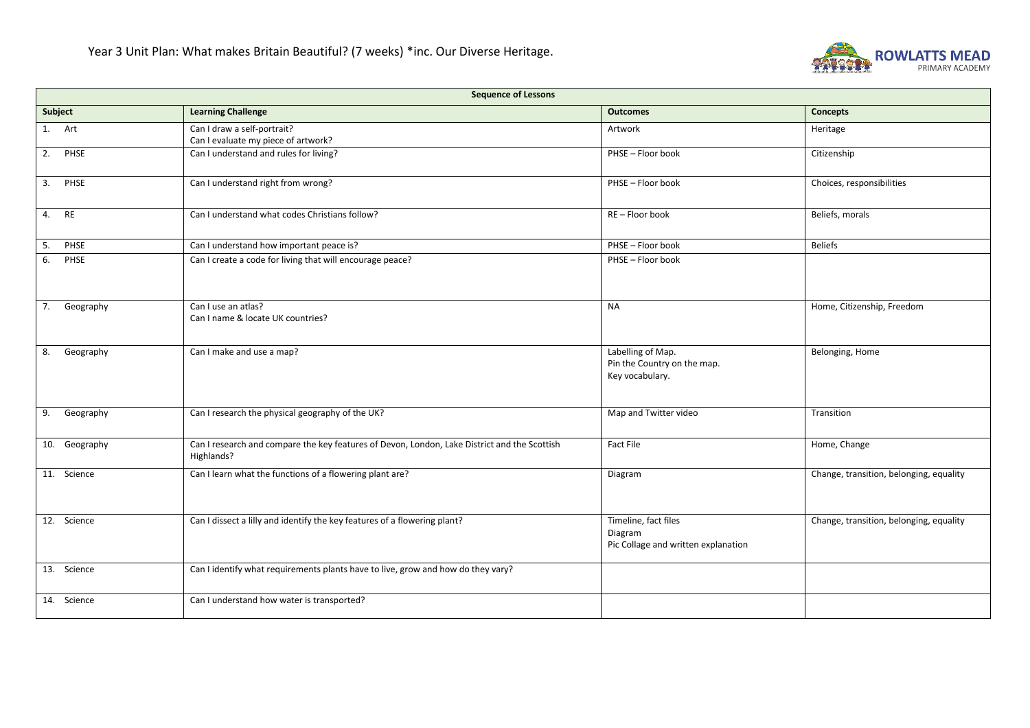

| <b>Sequence of Lessons</b> |                                                                                                            |                                                                        |                                         |
|----------------------------|------------------------------------------------------------------------------------------------------------|------------------------------------------------------------------------|-----------------------------------------|
| Subject                    | <b>Learning Challenge</b>                                                                                  | <b>Outcomes</b>                                                        | <b>Concepts</b>                         |
| 1. Art                     | Can I draw a self-portrait?<br>Can I evaluate my piece of artwork?                                         | Artwork                                                                | Heritage                                |
| 2. PHSE                    | Can I understand and rules for living?                                                                     | PHSE - Floor book                                                      | Citizenship                             |
| 3. PHSE                    | Can I understand right from wrong?                                                                         | PHSE - Floor book                                                      | Choices, responsibilities               |
| 4. RE                      | Can I understand what codes Christians follow?                                                             | RE-Floor book                                                          | Beliefs, morals                         |
| PHSE<br>5.                 | Can I understand how important peace is?                                                                   | PHSE - Floor book                                                      | <b>Beliefs</b>                          |
| 6.<br>PHSE                 | Can I create a code for living that will encourage peace?                                                  | PHSE - Floor book                                                      |                                         |
| Geography<br>7.            | Can I use an atlas?<br>Can I name & locate UK countries?                                                   | <b>NA</b>                                                              | Home, Citizenship, Freedom              |
| 8.<br>Geography            | Can I make and use a map?                                                                                  | Labelling of Map.<br>Pin the Country on the map.<br>Key vocabulary.    | Belonging, Home                         |
| 9.<br>Geography            | Can I research the physical geography of the UK?                                                           | Map and Twitter video                                                  | Transition                              |
| 10. Geography              | Can I research and compare the key features of Devon, London, Lake District and the Scottish<br>Highlands? | <b>Fact File</b>                                                       | Home, Change                            |
| 11. Science                | Can I learn what the functions of a flowering plant are?                                                   | Diagram                                                                | Change, transition, belonging, equality |
| 12. Science                | Can I dissect a lilly and identify the key features of a flowering plant?                                  | Timeline, fact files<br>Diagram<br>Pic Collage and written explanation | Change, transition, belonging, equality |
| 13. Science                | Can I identify what requirements plants have to live, grow and how do they vary?                           |                                                                        |                                         |
| 14. Science                | Can I understand how water is transported?                                                                 |                                                                        |                                         |